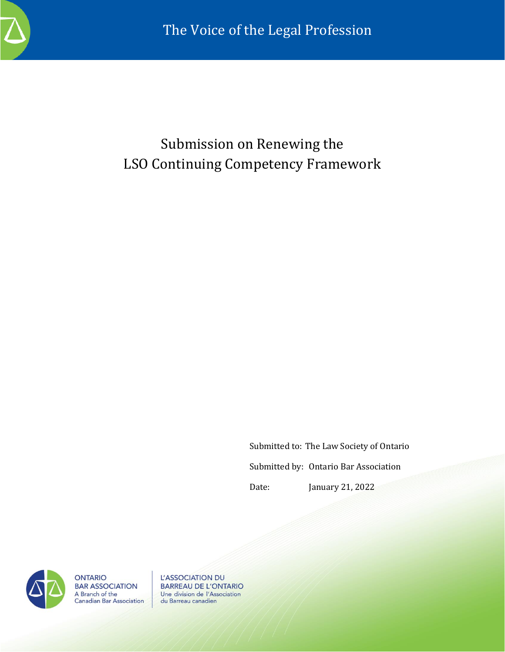

## Submission on Renewing the LSO Continuing Competency Framework

Submitted to: The Law Society of Ontario Submitted by: Ontario Bar Association Date: January 21, 2022



**ONTARIO BAR ASSOCIATION** A Branch of the<br>Canadian Bar Association

L'ASSOCIATION DU **BARREAU DE L'ONTARIO** Une division de l'Association du Barreau canadien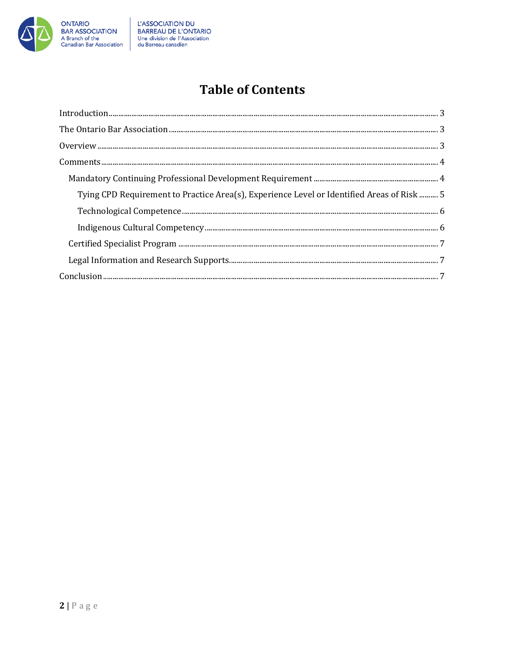

## **Table of Contents**

| Tying CPD Requirement to Practice Area(s), Experience Level or Identified Areas of Risk  5 |  |
|--------------------------------------------------------------------------------------------|--|
|                                                                                            |  |
|                                                                                            |  |
|                                                                                            |  |
|                                                                                            |  |
|                                                                                            |  |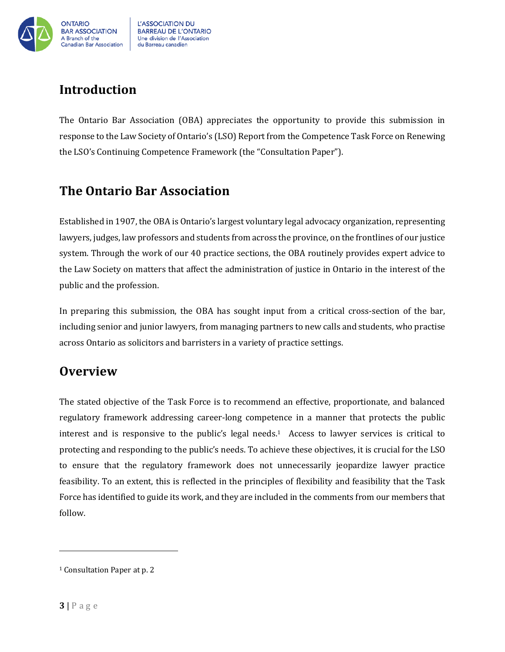

## <span id="page-2-0"></span>**Introduction**

The Ontario Bar Association (OBA) appreciates the opportunity to provide this submission in response to the Law Society of Ontario's (LSO) Report from the Competence Task Force on Renewing the LSO's Continuing Competence Framework (the "Consultation Paper").

## <span id="page-2-1"></span>**The Ontario Bar Association**

Established in 1907, the OBA is Ontario's largest voluntary legal advocacy organization, representing lawyers, judges, law professors and students from across the province, on the frontlines of our justice system. Through the work of our 40 practice sections, the OBA routinely provides expert advice to the Law Society on matters that affect the administration of justice in Ontario in the interest of the public and the profession.

In preparing this submission, the OBA has sought input from a critical cross-section of the bar, including senior and junior lawyers, from managing partners to new calls and students, who practise across Ontario as solicitors and barristers in a variety of practice settings.

### <span id="page-2-2"></span>**Overview**

The stated objective of the Task Force is to recommend an effective, proportionate, and balanced regulatory framework addressing career-long competence in a manner that protects the public interest and is responsive to the public's legal needs.<sup>1</sup> Access to lawyer services is critical to protecting and responding to the public's needs. To achieve these objectives, it is crucial for the LSO to ensure that the regulatory framework does not unnecessarily jeopardize lawyer practice feasibility. To an extent, this is reflected in the principles of flexibility and feasibility that the Task Force has identified to guide its work, and they are included in the comments from our members that follow.

<sup>1</sup> Consultation Paper at p. 2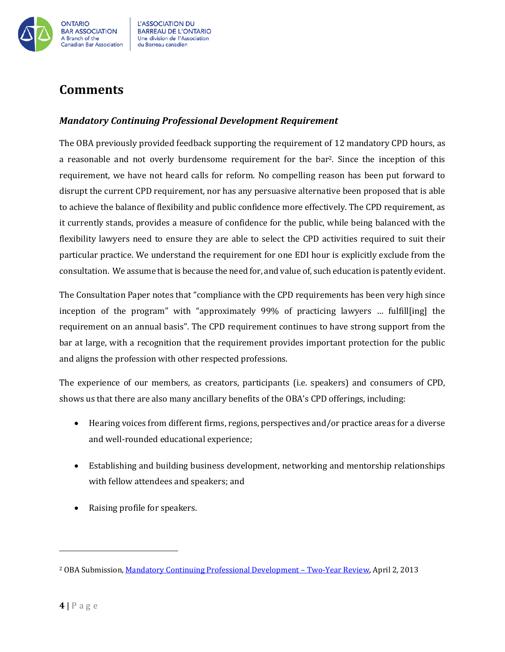

# du Barreau canadien

## <span id="page-3-0"></span>**Comments**

#### <span id="page-3-1"></span>*Mandatory Continuing Professional Development Requirement*

The OBA previously provided feedback supporting the requirement of 12 mandatory CPD hours, as a reasonable and not overly burdensome requirement for the bar2. Since the inception of this requirement, we have not heard calls for reform. No compelling reason has been put forward to disrupt the current CPD requirement, nor has any persuasive alternative been proposed that is able to achieve the balance of flexibility and public confidence more effectively. The CPD requirement, as it currently stands, provides a measure of confidence for the public, while being balanced with the flexibility lawyers need to ensure they are able to select the CPD activities required to suit their particular practice. We understand the requirement for one EDI hour is explicitly exclude from the consultation. We assume that is because the need for, and value of, such education is patently evident.

The Consultation Paper notes that "compliance with the CPD requirements has been very high since inception of the program" with "approximately 99% of practicing lawyers … fulfill[ing] the requirement on an annual basis". The CPD requirement continues to have strong support from the bar at large, with a recognition that the requirement provides important protection for the public and aligns the profession with other respected professions.

The experience of our members, as creators, participants (i.e. speakers) and consumers of CPD, shows us that there are also many ancillary benefits of the OBA's CPD offerings, including:

- Hearing voices from different firms, regions, perspectives and/or practice areas for a diverse and well-rounded educational experience;
- Establishing and building business development, networking and mentorship relationships with fellow attendees and speakers; and
- Raising profile for speakers.

<sup>2</sup> OBA Submission[, Mandatory Continuing Professional Development](https://www.oba.org/CMSPages/GetFile.aspx?guid=d43317d4-5f8b-47d0-95a8-679d1e3eb679) – Two-Year Review, April 2, 2013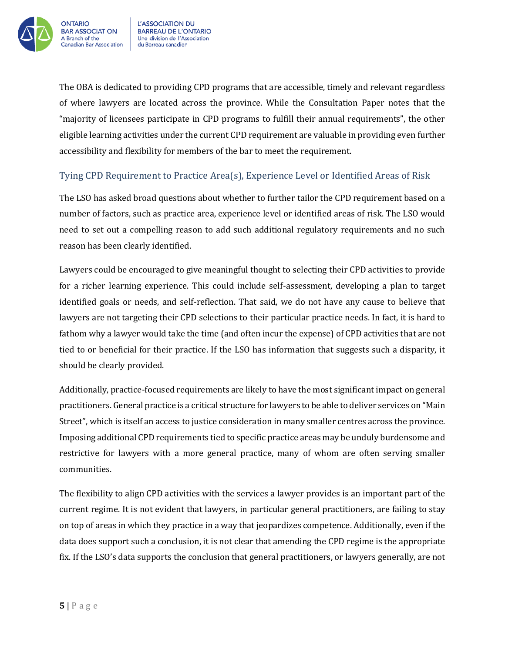

The OBA is dedicated to providing CPD programs that are accessible, timely and relevant regardless of where lawyers are located across the province. While the Consultation Paper notes that the "majority of licensees participate in CPD programs to fulfill their annual requirements", the other eligible learning activities under the current CPD requirement are valuable in providing even further accessibility and flexibility for members of the bar to meet the requirement.

#### <span id="page-4-0"></span>Tying CPD Requirement to Practice Area(s), Experience Level or Identified Areas of Risk

The LSO has asked broad questions about whether to further tailor the CPD requirement based on a number of factors, such as practice area, experience level or identified areas of risk. The LSO would need to set out a compelling reason to add such additional regulatory requirements and no such reason has been clearly identified.

Lawyers could be encouraged to give meaningful thought to selecting their CPD activities to provide for a richer learning experience. This could include self-assessment, developing a plan to target identified goals or needs, and self-reflection. That said, we do not have any cause to believe that lawyers are not targeting their CPD selections to their particular practice needs. In fact, it is hard to fathom why a lawyer would take the time (and often incur the expense) of CPD activities that are not tied to or beneficial for their practice. If the LSO has information that suggests such a disparity, it should be clearly provided.

Additionally, practice-focused requirements are likely to have the most significant impact on general practitioners. General practice is a critical structure for lawyers to be able to deliver services on "Main Street", which is itself an access to justice consideration in many smaller centres across the province. Imposing additional CPD requirements tied to specific practice areas may be unduly burdensome and restrictive for lawyers with a more general practice, many of whom are often serving smaller communities.

The flexibility to align CPD activities with the services a lawyer provides is an important part of the current regime. It is not evident that lawyers, in particular general practitioners, are failing to stay on top of areas in which they practice in a way that jeopardizes competence. Additionally, even if the data does support such a conclusion, it is not clear that amending the CPD regime is the appropriate fix. If the LSO's data supports the conclusion that general practitioners, or lawyers generally, are not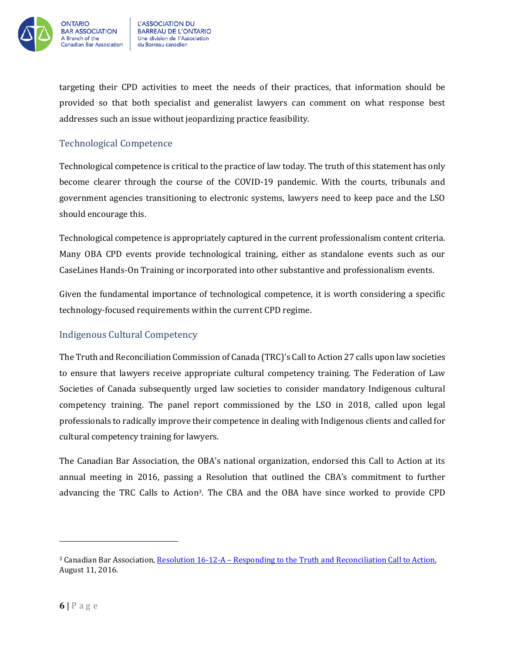

targeting their CPD activities to meet the needs of their practices, that information should be provided so that both specialist and generalist lawyers can comment on what response best addresses such an issue without jeopardizing practice feasibility.

#### <span id="page-5-0"></span>Technological Competence

Technological competence is critical to the practice of law today. The truth of this statement has only become clearer through the course of the COVID-19 pandemic. With the courts, tribunals and government agencies transitioning to electronic systems, lawyers need to keep pace and the LSO should encourage this.

Technological competence is appropriately captured in the current professionalism content criteria. Many OBA CPD events provide technological training, either as standalone events such as our CaseLines Hands-On Training or incorporated into other substantive and professionalism events.

Given the fundamental importance of technological competence, it is worth considering a specific technology-focused requirements within the current CPD regime.

#### <span id="page-5-1"></span>Indigenous Cultural Competency

The Truth and Reconciliation Commission of Canada (TRC)'s Call to Action 27 calls upon law societies to ensure that lawyers receive appropriate cultural competency training. The Federation of Law Societies of Canada subsequently urged law societies to consider mandatory Indigenous cultural competency training. The panel report commissioned by the LSO in 2018, called upon legal professionals to radically improve their competence in dealing with Indigenous clients and called for cultural competency training for lawyers.

The Canadian Bar Association, the OBA's national organization, endorsed this Call to Action at its annual meeting in 2016, passing a Resolution that outlined the CBA's commitment to further advancing the TRC Calls to Action3. The CBA and the OBA have since worked to provide CPD

<sup>&</sup>lt;sup>3</sup> Canadian Bar Association, Resolution 16-12-A – Responding to the Truth and Reconciliation Call to Action, August 11, 2016.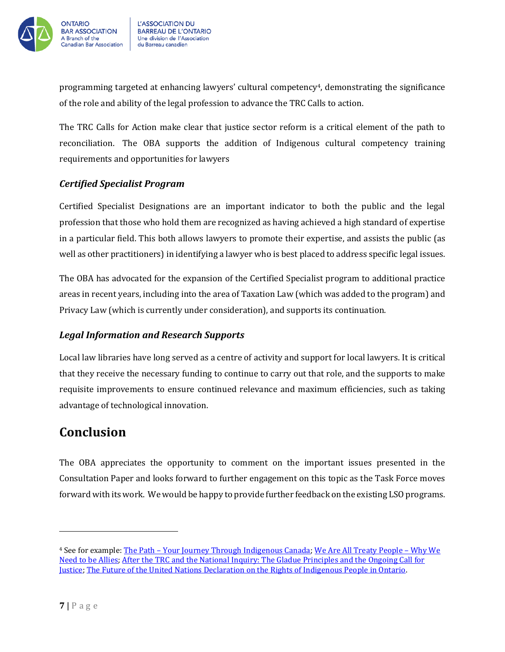

programming targeted at enhancing lawyers' cultural competency4, demonstrating the significance of the role and ability of the legal profession to advance the TRC Calls to action.

The TRC Calls for Action make clear that justice sector reform is a critical element of the path to reconciliation. The OBA supports the addition of Indigenous cultural competency training requirements and opportunities for lawyers

#### <span id="page-6-0"></span>*Certified Specialist Program*

Certified Specialist Designations are an important indicator to both the public and the legal profession that those who hold them are recognized as having achieved a high standard of expertise in a particular field. This both allows lawyers to promote their expertise, and assists the public (as well as other practitioners) in identifying a lawyer who is best placed to address specific legal issues.

The OBA has advocated for the expansion of the Certified Specialist program to additional practice areas in recent years, including into the area of Taxation Law (which was added to the program) and Privacy Law (which is currently under consideration), and supports its continuation.

#### <span id="page-6-1"></span>*Legal Information and Research Supports*

Local law libraries have long served as a centre of activity and support for local lawyers. It is critical that they receive the necessary funding to continue to carry out that role, and the supports to make requisite improvements to ensure continued relevance and maximum efficiencies, such as taking advantage of technological innovation.

## <span id="page-6-2"></span>**Conclusion**

The OBA appreciates the opportunity to comment on the important issues presented in the Consultation Paper and looks forward to further engagement on this topic as the Task Force moves forward with its work. We would be happy to provide further feedback on the existing LSO programs.

<sup>4</sup> See for example: The Path – [Your Journey Through Indigenous Canada;](https://www.cba.org/ThePath) [We Are All Treaty People](https://www.cbapd.org/details_en.aspx?id=ON_ON20OBA01V&_ga=2.109773701.1823658225.1642340218-1110001582.1626797839) – Why We [Need to be Allies;](https://www.cbapd.org/details_en.aspx?id=ON_ON20OBA01V&_ga=2.109773701.1823658225.1642340218-1110001582.1626797839) [After the TRC and the National Inquiry: The Gladue Principles and the Ongoing Call for](https://www.cbapd.org/details_en.aspx?id=ON_ON19ABO04V)  [Justice;](https://www.cbapd.org/details_en.aspx?id=ON_ON19ABO04V) [The Future of the United Nations Declaration on the Rights of Indigenous People in Ontario.](https://www.cbapd.org/details_en.aspx?id=ON_ON21ABO01V)